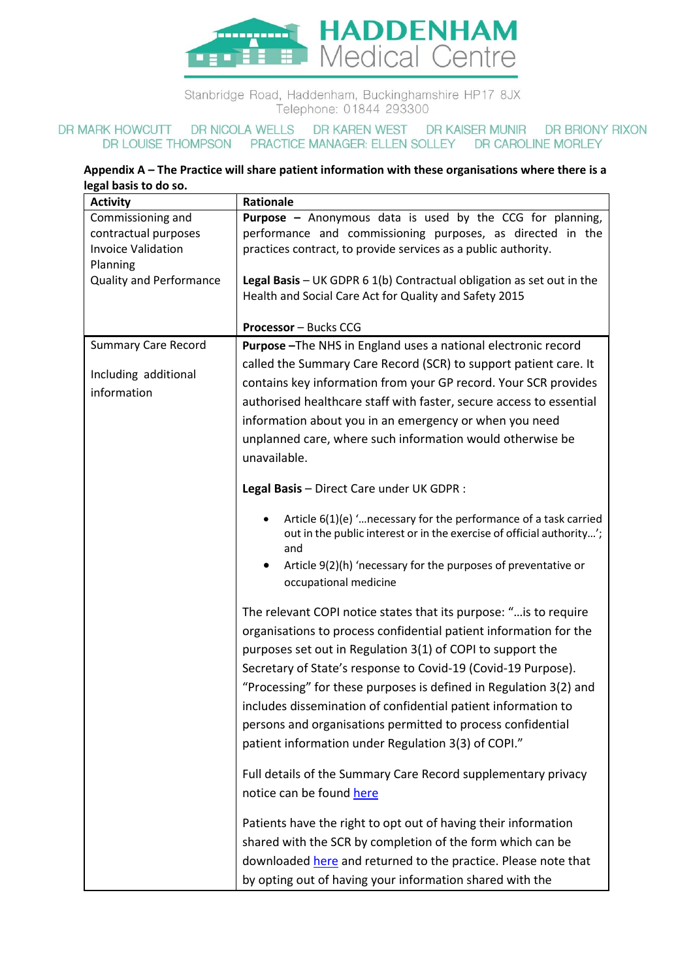

Stanbridge Road, Haddenham, Buckinghamshire HP17 8JX Telephone: 01844 293300

## DR MARK HOWCUTT DR NICOLA WELLS DR KAREN WEST DR KAISER MUNIR DR BRIONY RIXON DR LOUISE THOMPSON PRACTICE MANAGER: ELLEN SOLLEY DR CAROLINE MORLEY

## **Appendix A – The Practice will share patient information with these organisations where there is a legal basis to do so.**

| par nasis to ao soi                                                                |                                                                                                                                                                                                                                                                                                                                                                                                                                                                                                                                   |
|------------------------------------------------------------------------------------|-----------------------------------------------------------------------------------------------------------------------------------------------------------------------------------------------------------------------------------------------------------------------------------------------------------------------------------------------------------------------------------------------------------------------------------------------------------------------------------------------------------------------------------|
| <b>Activity</b>                                                                    | Rationale                                                                                                                                                                                                                                                                                                                                                                                                                                                                                                                         |
| Commissioning and<br>contractual purposes<br><b>Invoice Validation</b><br>Planning | <b>Purpose -</b> Anonymous data is used by the CCG for planning,<br>performance and commissioning purposes, as directed in the<br>practices contract, to provide services as a public authority.                                                                                                                                                                                                                                                                                                                                  |
| <b>Quality and Performance</b>                                                     | Legal Basis - UK GDPR $6 1(b)$ Contractual obligation as set out in the<br>Health and Social Care Act for Quality and Safety 2015                                                                                                                                                                                                                                                                                                                                                                                                 |
|                                                                                    | <b>Processor</b> - Bucks CCG                                                                                                                                                                                                                                                                                                                                                                                                                                                                                                      |
| <b>Summary Care Record</b>                                                         | Purpose-The NHS in England uses a national electronic record                                                                                                                                                                                                                                                                                                                                                                                                                                                                      |
| Including additional<br>information                                                | called the Summary Care Record (SCR) to support patient care. It<br>contains key information from your GP record. Your SCR provides<br>authorised healthcare staff with faster, secure access to essential<br>information about you in an emergency or when you need<br>unplanned care, where such information would otherwise be<br>unavailable.                                                                                                                                                                                 |
|                                                                                    | Legal Basis - Direct Care under UK GDPR :                                                                                                                                                                                                                                                                                                                                                                                                                                                                                         |
|                                                                                    | Article $6(1)(e)$ " necessary for the performance of a task carried<br>out in the public interest or in the exercise of official authority';<br>and<br>Article 9(2)(h) 'necessary for the purposes of preventative or<br>occupational medicine                                                                                                                                                                                                                                                                                    |
|                                                                                    | The relevant COPI notice states that its purpose: " is to require<br>organisations to process confidential patient information for the<br>purposes set out in Regulation 3(1) of COPI to support the<br>Secretary of State's response to Covid-19 (Covid-19 Purpose).<br>"Processing" for these purposes is defined in Regulation 3(2) and<br>includes dissemination of confidential patient information to<br>persons and organisations permitted to process confidential<br>patient information under Regulation 3(3) of COPI." |
|                                                                                    | Full details of the Summary Care Record supplementary privacy<br>notice can be found here                                                                                                                                                                                                                                                                                                                                                                                                                                         |
|                                                                                    | Patients have the right to opt out of having their information<br>shared with the SCR by completion of the form which can be<br>downloaded here and returned to the practice. Please note that<br>by opting out of having your information shared with the                                                                                                                                                                                                                                                                        |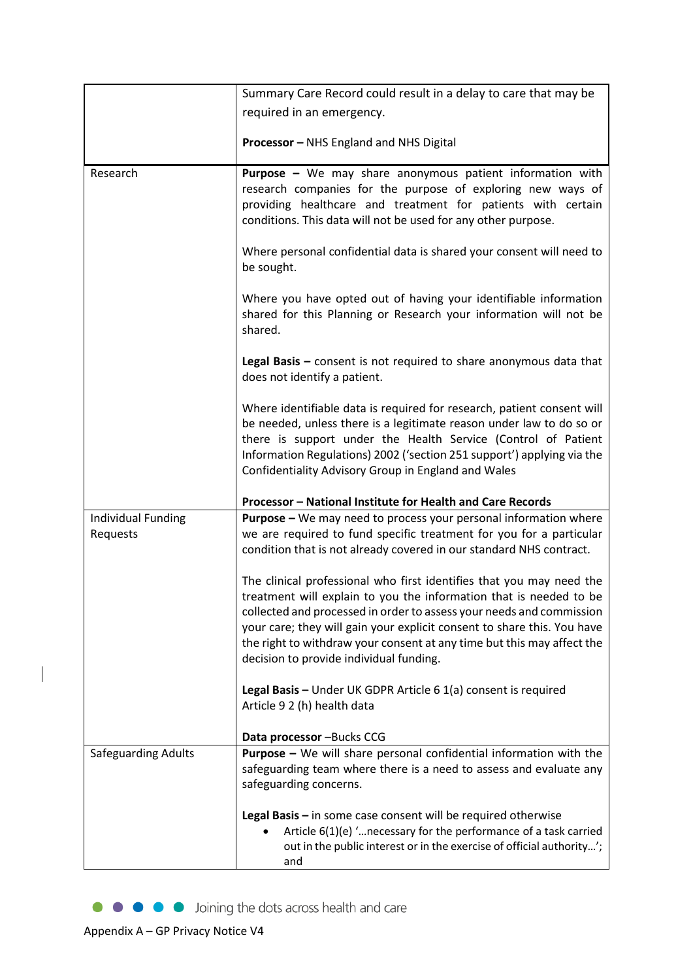|                     | Summary Care Record could result in a delay to care that may be                                                                                  |
|---------------------|--------------------------------------------------------------------------------------------------------------------------------------------------|
|                     | required in an emergency.                                                                                                                        |
|                     |                                                                                                                                                  |
|                     | <b>Processor</b> - NHS England and NHS Digital                                                                                                   |
| Research            | Purpose - We may share anonymous patient information with<br>research companies for the purpose of exploring new ways of                         |
|                     | providing healthcare and treatment for patients with certain<br>conditions. This data will not be used for any other purpose.                    |
|                     | Where personal confidential data is shared your consent will need to<br>be sought.                                                               |
|                     | Where you have opted out of having your identifiable information<br>shared for this Planning or Research your information will not be<br>shared. |
|                     | Legal Basis $-$ consent is not required to share anonymous data that<br>does not identify a patient.                                             |
|                     | Where identifiable data is required for research, patient consent will                                                                           |
|                     | be needed, unless there is a legitimate reason under law to do so or                                                                             |
|                     | there is support under the Health Service (Control of Patient<br>Information Regulations) 2002 ('section 251 support') applying via the          |
|                     | Confidentiality Advisory Group in England and Wales                                                                                              |
|                     |                                                                                                                                                  |
|                     | Processor - National Institute for Health and Care Records                                                                                       |
| Individual Funding  | <b>Purpose</b> – We may need to process your personal information where                                                                          |
| Requests            | we are required to fund specific treatment for you for a particular<br>condition that is not already covered in our standard NHS contract.       |
|                     | The clinical professional who first identifies that you may need the<br>treatment will explain to you the information that is needed to be       |
|                     | collected and processed in order to assess your needs and commission                                                                             |
|                     | your care; they will gain your explicit consent to share this. You have                                                                          |
|                     | the right to withdraw your consent at any time but this may affect the                                                                           |
|                     | decision to provide individual funding.                                                                                                          |
|                     | Legal Basis - Under UK GDPR Article 6 1(a) consent is required                                                                                   |
|                     | Article 9 2 (h) health data                                                                                                                      |
|                     | Data processor - Bucks CCG                                                                                                                       |
| Safeguarding Adults | <b>Purpose - We will share personal confidential information with the</b>                                                                        |
|                     | safeguarding team where there is a need to assess and evaluate any                                                                               |
|                     | safeguarding concerns.                                                                                                                           |
|                     | Legal Basis $-$ in some case consent will be required otherwise                                                                                  |
|                     | Article 6(1)(e) ' necessary for the performance of a task carried                                                                                |
|                     | out in the public interest or in the exercise of official authority';                                                                            |
|                     | and                                                                                                                                              |

 $\begin{array}{c} \hline \end{array}$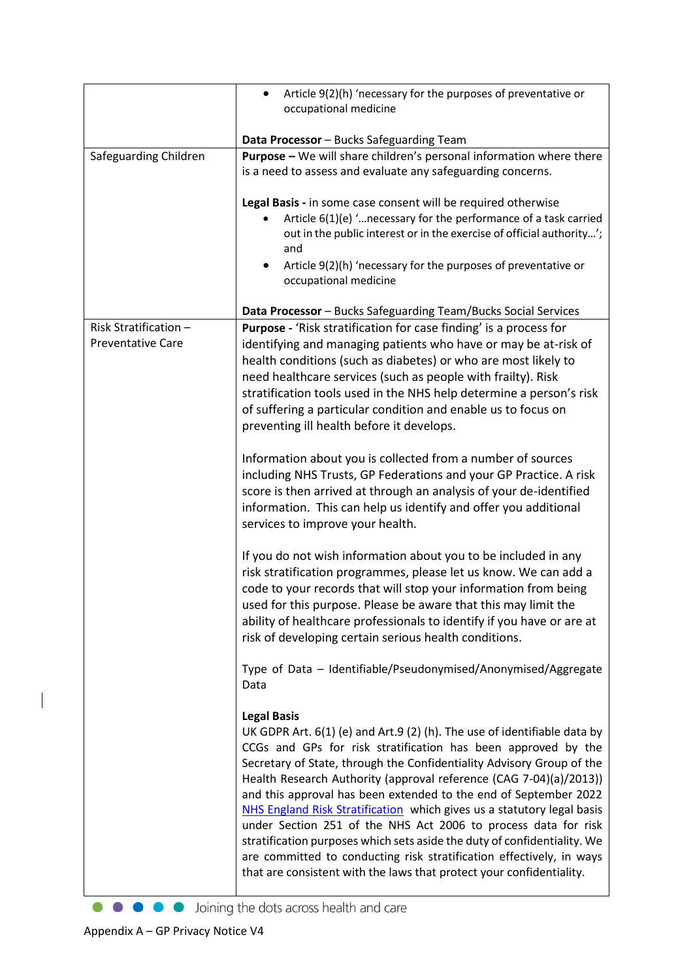|                                                   | Article 9(2)(h) 'necessary for the purposes of preventative or<br>$\bullet$                                                                                                                                                                                                                                                                                                                                                                                                                                                                                                                                                                                                                                                                                |
|---------------------------------------------------|------------------------------------------------------------------------------------------------------------------------------------------------------------------------------------------------------------------------------------------------------------------------------------------------------------------------------------------------------------------------------------------------------------------------------------------------------------------------------------------------------------------------------------------------------------------------------------------------------------------------------------------------------------------------------------------------------------------------------------------------------------|
|                                                   | occupational medicine                                                                                                                                                                                                                                                                                                                                                                                                                                                                                                                                                                                                                                                                                                                                      |
|                                                   | Data Processor - Bucks Safeguarding Team                                                                                                                                                                                                                                                                                                                                                                                                                                                                                                                                                                                                                                                                                                                   |
| Safeguarding Children                             | <b>Purpose - We will share children's personal information where there</b><br>is a need to assess and evaluate any safeguarding concerns.                                                                                                                                                                                                                                                                                                                                                                                                                                                                                                                                                                                                                  |
|                                                   | Legal Basis - in some case consent will be required otherwise<br>Article $6(1)(e)$ ' necessary for the performance of a task carried<br>out in the public interest or in the exercise of official authority';<br>and<br>Article 9(2)(h) 'necessary for the purposes of preventative or<br>occupational medicine                                                                                                                                                                                                                                                                                                                                                                                                                                            |
|                                                   | Data Processor - Bucks Safeguarding Team/Bucks Social Services                                                                                                                                                                                                                                                                                                                                                                                                                                                                                                                                                                                                                                                                                             |
| Risk Stratification -<br><b>Preventative Care</b> | Purpose - 'Risk stratification for case finding' is a process for<br>identifying and managing patients who have or may be at-risk of<br>health conditions (such as diabetes) or who are most likely to<br>need healthcare services (such as people with frailty). Risk<br>stratification tools used in the NHS help determine a person's risk<br>of suffering a particular condition and enable us to focus on<br>preventing ill health before it develops.                                                                                                                                                                                                                                                                                                |
|                                                   | Information about you is collected from a number of sources<br>including NHS Trusts, GP Federations and your GP Practice. A risk<br>score is then arrived at through an analysis of your de-identified<br>information. This can help us identify and offer you additional<br>services to improve your health.                                                                                                                                                                                                                                                                                                                                                                                                                                              |
|                                                   | If you do not wish information about you to be included in any<br>risk stratification programmes, please let us know. We can add a<br>code to your records that will stop your information from being<br>used for this purpose. Please be aware that this may limit the<br>ability of healthcare professionals to identify if you have or are at<br>risk of developing certain serious health conditions.                                                                                                                                                                                                                                                                                                                                                  |
|                                                   | Type of Data - Identifiable/Pseudonymised/Anonymised/Aggregate<br>Data                                                                                                                                                                                                                                                                                                                                                                                                                                                                                                                                                                                                                                                                                     |
|                                                   | <b>Legal Basis</b><br>UK GDPR Art. 6(1) (e) and Art.9 (2) (h). The use of identifiable data by<br>CCGs and GPs for risk stratification has been approved by the<br>Secretary of State, through the Confidentiality Advisory Group of the<br>Health Research Authority (approval reference (CAG 7-04)(a)/2013))<br>and this approval has been extended to the end of September 2022<br>NHS England Risk Stratification which gives us a statutory legal basis<br>under Section 251 of the NHS Act 2006 to process data for risk<br>stratification purposes which sets aside the duty of confidentiality. We<br>are committed to conducting risk stratification effectively, in ways<br>that are consistent with the laws that protect your confidentiality. |

• • • • Joining the dots across health and care

 $\begin{array}{c} \rule{0pt}{2.5ex} \rule{0pt}{2.5ex} \rule{0pt}{2.5ex} \rule{0pt}{2.5ex} \rule{0pt}{2.5ex} \rule{0pt}{2.5ex} \rule{0pt}{2.5ex} \rule{0pt}{2.5ex} \rule{0pt}{2.5ex} \rule{0pt}{2.5ex} \rule{0pt}{2.5ex} \rule{0pt}{2.5ex} \rule{0pt}{2.5ex} \rule{0pt}{2.5ex} \rule{0pt}{2.5ex} \rule{0pt}{2.5ex} \rule{0pt}{2.5ex} \rule{0pt}{2.5ex} \rule{0pt}{2.5ex} \rule{0$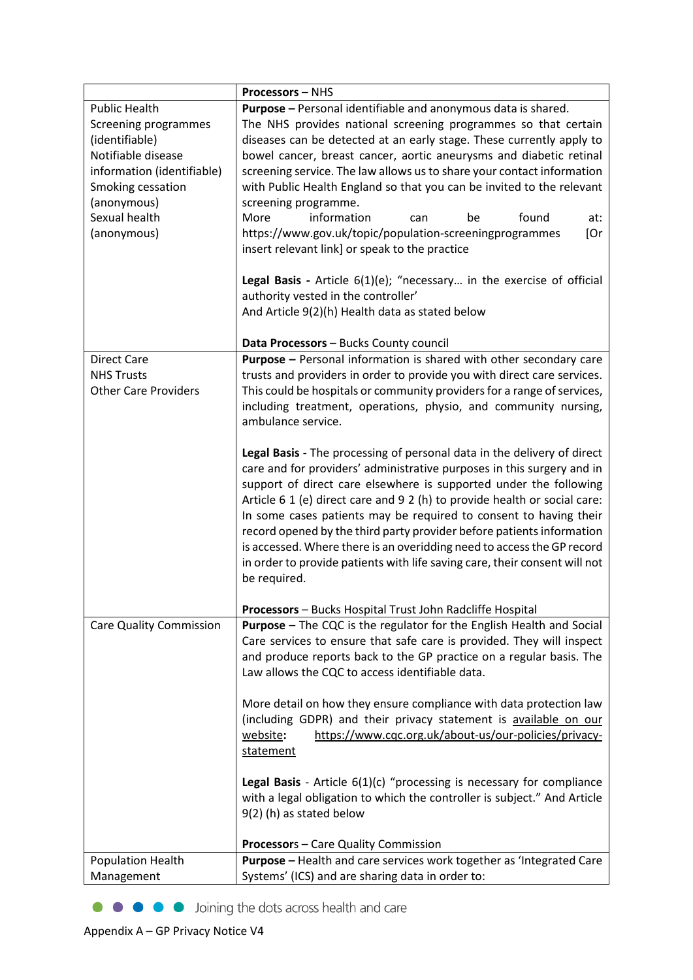|                                      | <b>Processors - NHS</b>                                                                                                                    |
|--------------------------------------|--------------------------------------------------------------------------------------------------------------------------------------------|
| <b>Public Health</b>                 | Purpose - Personal identifiable and anonymous data is shared.                                                                              |
| Screening programmes                 | The NHS provides national screening programmes so that certain                                                                             |
| (identifiable)<br>Notifiable disease | diseases can be detected at an early stage. These currently apply to<br>bowel cancer, breast cancer, aortic aneurysms and diabetic retinal |
|                                      |                                                                                                                                            |
| information (identifiable)           | screening service. The law allows us to share your contact information                                                                     |
| Smoking cessation                    | with Public Health England so that you can be invited to the relevant<br>screening programme.                                              |
| (anonymous)<br>Sexual health         | information<br>More<br>found<br>be<br>at:<br>can                                                                                           |
| (anonymous)                          | https://www.gov.uk/topic/population-screeningprogrammes<br>[Or                                                                             |
|                                      | insert relevant link] or speak to the practice                                                                                             |
|                                      |                                                                                                                                            |
|                                      | <b>Legal Basis</b> - Article $6(1)(e)$ ; "necessary in the exercise of official                                                            |
|                                      | authority vested in the controller'                                                                                                        |
|                                      | And Article 9(2)(h) Health data as stated below                                                                                            |
|                                      | Data Processors - Bucks County council                                                                                                     |
| <b>Direct Care</b>                   | <b>Purpose - Personal information is shared with other secondary care</b>                                                                  |
| <b>NHS Trusts</b>                    | trusts and providers in order to provide you with direct care services.                                                                    |
| <b>Other Care Providers</b>          | This could be hospitals or community providers for a range of services,                                                                    |
|                                      | including treatment, operations, physio, and community nursing,                                                                            |
|                                      | ambulance service.                                                                                                                         |
|                                      | Legal Basis - The processing of personal data in the delivery of direct                                                                    |
|                                      | care and for providers' administrative purposes in this surgery and in                                                                     |
|                                      | support of direct care elsewhere is supported under the following                                                                          |
|                                      | Article 6 1 (e) direct care and 9 2 (h) to provide health or social care:                                                                  |
|                                      | In some cases patients may be required to consent to having their                                                                          |
|                                      | record opened by the third party provider before patients information                                                                      |
|                                      | is accessed. Where there is an overidding need to access the GP record                                                                     |
|                                      | in order to provide patients with life saving care, their consent will not                                                                 |
|                                      | be required.                                                                                                                               |
|                                      | Processors - Bucks Hospital Trust John Radcliffe Hospital                                                                                  |
| <b>Care Quality Commission</b>       | <b>Purpose</b> – The CQC is the regulator for the English Health and Social                                                                |
|                                      | Care services to ensure that safe care is provided. They will inspect                                                                      |
|                                      | and produce reports back to the GP practice on a regular basis. The                                                                        |
|                                      | Law allows the CQC to access identifiable data.                                                                                            |
|                                      | More detail on how they ensure compliance with data protection law                                                                         |
|                                      | (including GDPR) and their privacy statement is available on our                                                                           |
|                                      | https://www.cqc.org.uk/about-us/our-policies/privacy-<br>website:                                                                          |
|                                      | statement                                                                                                                                  |
|                                      | Legal Basis - Article 6(1)(c) "processing is necessary for compliance                                                                      |
|                                      | with a legal obligation to which the controller is subject." And Article                                                                   |
|                                      | $9(2)$ (h) as stated below                                                                                                                 |
|                                      |                                                                                                                                            |
|                                      | Processors - Care Quality Commission                                                                                                       |
| <b>Population Health</b>             | Purpose - Health and care services work together as 'Integrated Care                                                                       |
| Management                           | Systems' (ICS) and are sharing data in order to:                                                                                           |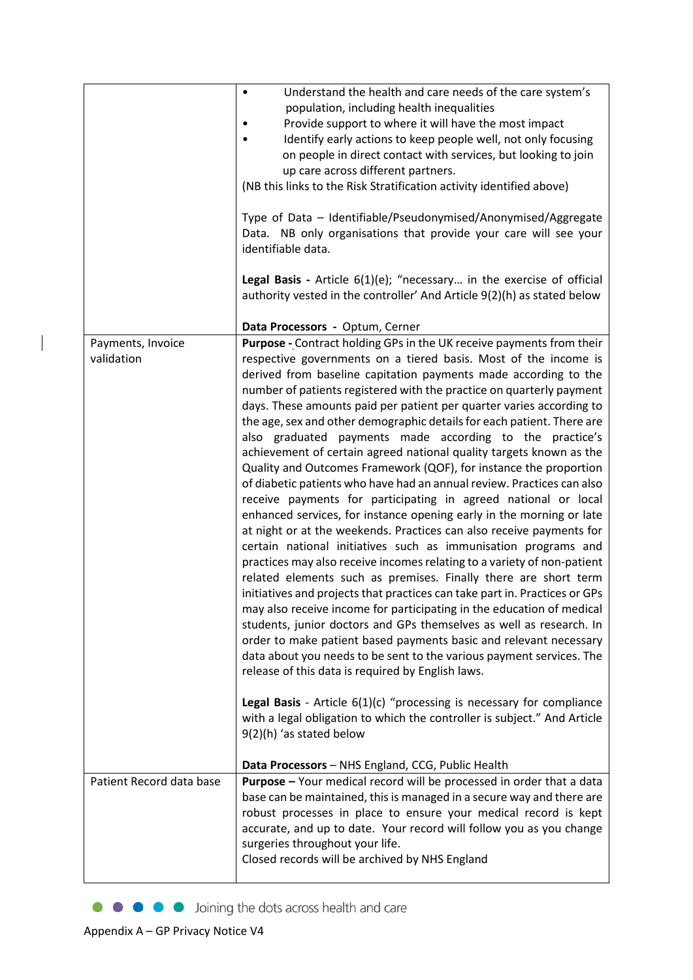|                                 | Understand the health and care needs of the care system's<br>$\bullet$<br>population, including health inequalities<br>Provide support to where it will have the most impact<br>Identify early actions to keep people well, not only focusing<br>on people in direct contact with services, but looking to join<br>up care across different partners.<br>(NB this links to the Risk Stratification activity identified above)<br>Type of Data - Identifiable/Pseudonymised/Anonymised/Aggregate<br>Data. NB only organisations that provide your care will see your<br>identifiable data.<br>Legal Basis - Article 6(1)(e); "necessary in the exercise of official<br>authority vested in the controller' And Article 9(2)(h) as stated below<br>Data Processors - Optum, Cerner                                                                                                                                                                                                                                                                                                                                                                                                                                                                                                                                                                                                                                                                                                                                                                                                                                                                                                                                                                                                                                               |
|---------------------------------|--------------------------------------------------------------------------------------------------------------------------------------------------------------------------------------------------------------------------------------------------------------------------------------------------------------------------------------------------------------------------------------------------------------------------------------------------------------------------------------------------------------------------------------------------------------------------------------------------------------------------------------------------------------------------------------------------------------------------------------------------------------------------------------------------------------------------------------------------------------------------------------------------------------------------------------------------------------------------------------------------------------------------------------------------------------------------------------------------------------------------------------------------------------------------------------------------------------------------------------------------------------------------------------------------------------------------------------------------------------------------------------------------------------------------------------------------------------------------------------------------------------------------------------------------------------------------------------------------------------------------------------------------------------------------------------------------------------------------------------------------------------------------------------------------------------------------------|
|                                 |                                                                                                                                                                                                                                                                                                                                                                                                                                                                                                                                                                                                                                                                                                                                                                                                                                                                                                                                                                                                                                                                                                                                                                                                                                                                                                                                                                                                                                                                                                                                                                                                                                                                                                                                                                                                                                |
| Payments, Invoice<br>validation | Purpose - Contract holding GPs in the UK receive payments from their<br>respective governments on a tiered basis. Most of the income is<br>derived from baseline capitation payments made according to the<br>number of patients registered with the practice on quarterly payment<br>days. These amounts paid per patient per quarter varies according to<br>the age, sex and other demographic details for each patient. There are<br>also graduated payments made according to the practice's<br>achievement of certain agreed national quality targets known as the<br>Quality and Outcomes Framework (QOF), for instance the proportion<br>of diabetic patients who have had an annual review. Practices can also<br>receive payments for participating in agreed national or local<br>enhanced services, for instance opening early in the morning or late<br>at night or at the weekends. Practices can also receive payments for<br>certain national initiatives such as immunisation programs and<br>practices may also receive incomes relating to a variety of non-patient<br>related elements such as premises. Finally there are short term<br>initiatives and projects that practices can take part in. Practices or GPs<br>may also receive income for participating in the education of medical<br>students, junior doctors and GPs themselves as well as research. In<br>order to make patient based payments basic and relevant necessary<br>data about you needs to be sent to the various payment services. The<br>release of this data is required by English laws.<br>Legal Basis - Article 6(1)(c) "processing is necessary for compliance<br>with a legal obligation to which the controller is subject." And Article<br>9(2)(h) 'as stated below<br>Data Processors - NHS England, CCG, Public Health |
| Patient Record data base        | Purpose - Your medical record will be processed in order that a data                                                                                                                                                                                                                                                                                                                                                                                                                                                                                                                                                                                                                                                                                                                                                                                                                                                                                                                                                                                                                                                                                                                                                                                                                                                                                                                                                                                                                                                                                                                                                                                                                                                                                                                                                           |
|                                 | base can be maintained, this is managed in a secure way and there are<br>robust processes in place to ensure your medical record is kept<br>accurate, and up to date. Your record will follow you as you change<br>surgeries throughout your life.<br>Closed records will be archived by NHS England                                                                                                                                                                                                                                                                                                                                                                                                                                                                                                                                                                                                                                                                                                                                                                                                                                                                                                                                                                                                                                                                                                                                                                                                                                                                                                                                                                                                                                                                                                                           |

• • • • Joining the dots across health and care

 $\begin{array}{c} \end{array}$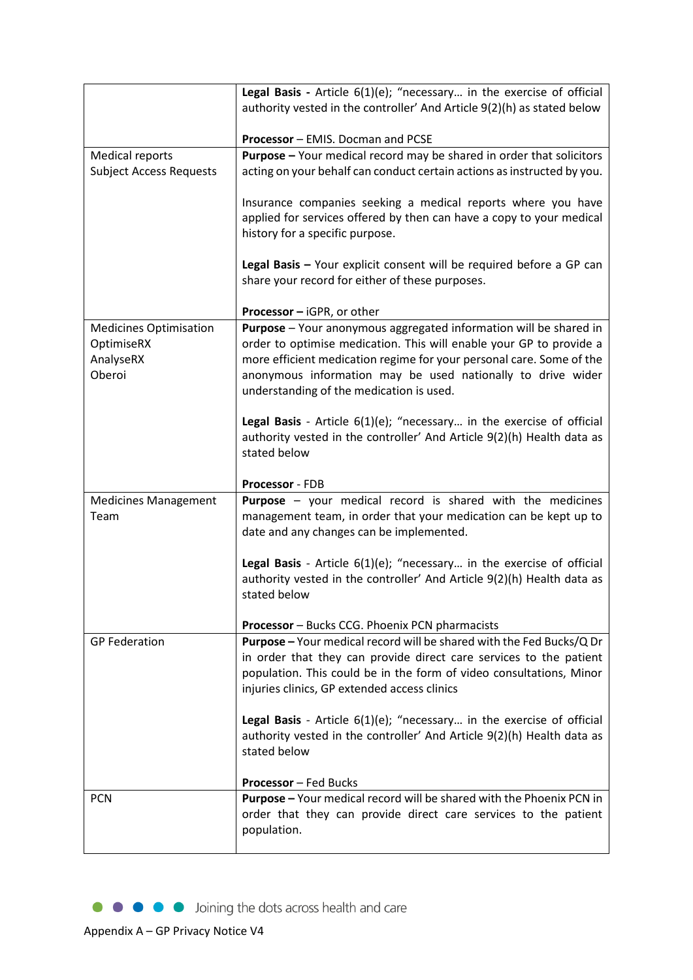|                                                          | Legal Basis - Article 6(1)(e); "necessary in the exercise of official<br>authority vested in the controller' And Article 9(2)(h) as stated below                                                                                                                  |
|----------------------------------------------------------|-------------------------------------------------------------------------------------------------------------------------------------------------------------------------------------------------------------------------------------------------------------------|
|                                                          | Processor - EMIS. Docman and PCSE                                                                                                                                                                                                                                 |
| <b>Medical reports</b><br><b>Subject Access Requests</b> | <b>Purpose</b> - Your medical record may be shared in order that solicitors<br>acting on your behalf can conduct certain actions as instructed by you.                                                                                                            |
|                                                          | Insurance companies seeking a medical reports where you have<br>applied for services offered by then can have a copy to your medical<br>history for a specific purpose.                                                                                           |
|                                                          | Legal Basis - Your explicit consent will be required before a GP can<br>share your record for either of these purposes.                                                                                                                                           |
| <b>Medicines Optimisation</b>                            | <b>Processor</b> – iGPR, or other<br>Purpose - Your anonymous aggregated information will be shared in                                                                                                                                                            |
| OptimiseRX<br>AnalyseRX<br>Oberoi                        | order to optimise medication. This will enable your GP to provide a<br>more efficient medication regime for your personal care. Some of the<br>anonymous information may be used nationally to drive wider<br>understanding of the medication is used.            |
|                                                          | Legal Basis - Article 6(1)(e); "necessary in the exercise of official<br>authority vested in the controller' And Article 9(2)(h) Health data as<br>stated below                                                                                                   |
|                                                          | Processor - FDB                                                                                                                                                                                                                                                   |
| <b>Medicines Management</b><br>Team                      | <b>Purpose</b> - your medical record is shared with the medicines<br>management team, in order that your medication can be kept up to<br>date and any changes can be implemented.                                                                                 |
|                                                          | Legal Basis - Article 6(1)(e); "necessary in the exercise of official<br>authority vested in the controller' And Article 9(2)(h) Health data as<br>stated below                                                                                                   |
|                                                          | <b>Processor</b> - Bucks CCG. Phoenix PCN pharmacists                                                                                                                                                                                                             |
| <b>GP</b> Federation                                     | Purpose - Your medical record will be shared with the Fed Bucks/Q Dr<br>in order that they can provide direct care services to the patient<br>population. This could be in the form of video consultations, Minor<br>injuries clinics, GP extended access clinics |
|                                                          | <b>Legal Basis</b> - Article $6(1)(e)$ ; "necessary in the exercise of official<br>authority vested in the controller' And Article 9(2)(h) Health data as<br>stated below                                                                                         |
|                                                          | <b>Processor</b> – Fed Bucks                                                                                                                                                                                                                                      |
| <b>PCN</b>                                               | Purpose - Your medical record will be shared with the Phoenix PCN in<br>order that they can provide direct care services to the patient<br>population.                                                                                                            |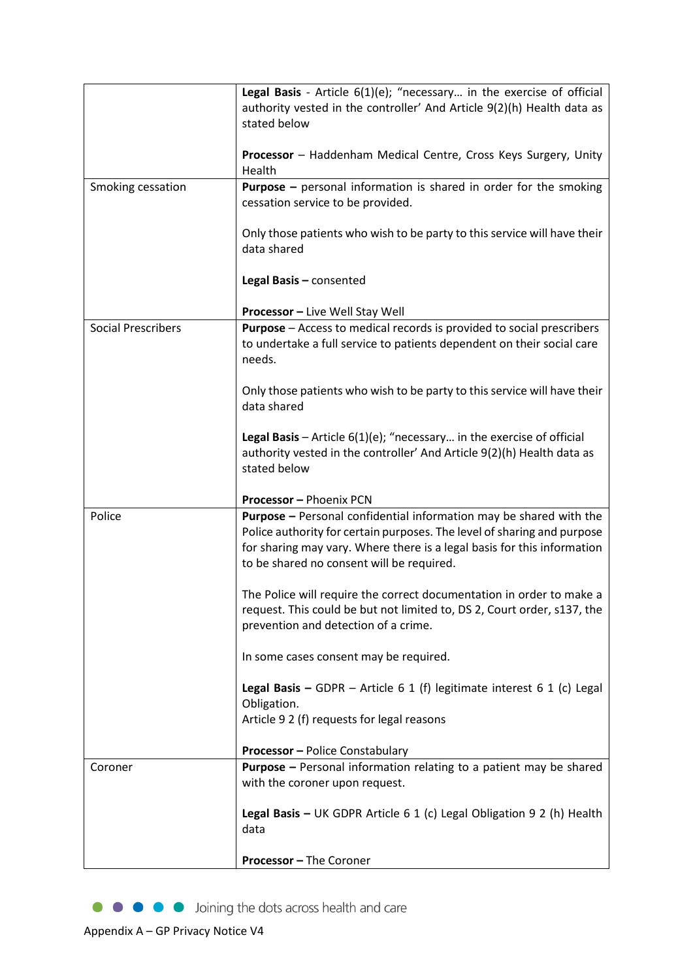|                           | Legal Basis - Article 6(1)(e); "necessary in the exercise of official<br>authority vested in the controller' And Article 9(2)(h) Health data as<br>stated below                                                                                                       |
|---------------------------|-----------------------------------------------------------------------------------------------------------------------------------------------------------------------------------------------------------------------------------------------------------------------|
|                           | Processor - Haddenham Medical Centre, Cross Keys Surgery, Unity<br>Health                                                                                                                                                                                             |
| Smoking cessation         | <b>Purpose</b> - personal information is shared in order for the smoking<br>cessation service to be provided.                                                                                                                                                         |
|                           | Only those patients who wish to be party to this service will have their<br>data shared                                                                                                                                                                               |
|                           | Legal Basis - consented                                                                                                                                                                                                                                               |
|                           | Processor - Live Well Stay Well                                                                                                                                                                                                                                       |
| <b>Social Prescribers</b> | <b>Purpose</b> – Access to medical records is provided to social prescribers<br>to undertake a full service to patients dependent on their social care<br>needs.                                                                                                      |
|                           | Only those patients who wish to be party to this service will have their<br>data shared                                                                                                                                                                               |
|                           | Legal Basis - Article $6(1)(e)$ ; "necessary in the exercise of official<br>authority vested in the controller' And Article 9(2)(h) Health data as<br>stated below                                                                                                    |
|                           | Processor - Phoenix PCN                                                                                                                                                                                                                                               |
| Police                    | Purpose - Personal confidential information may be shared with the<br>Police authority for certain purposes. The level of sharing and purpose<br>for sharing may vary. Where there is a legal basis for this information<br>to be shared no consent will be required. |
|                           | The Police will require the correct documentation in order to make a<br>request. This could be but not limited to, DS 2, Court order, s137, the<br>prevention and detection of a crime.                                                                               |
|                           | In some cases consent may be required.                                                                                                                                                                                                                                |
|                           | Legal Basis - GDPR - Article 6 1 (f) legitimate interest 6 1 (c) Legal<br>Obligation.<br>Article 9 2 (f) requests for legal reasons                                                                                                                                   |
|                           |                                                                                                                                                                                                                                                                       |
| Coroner                   | <b>Processor</b> - Police Constabulary<br><b>Purpose</b> – Personal information relating to a patient may be shared                                                                                                                                                   |
|                           | with the coroner upon request.                                                                                                                                                                                                                                        |
|                           | Legal Basis - UK GDPR Article $6 1$ (c) Legal Obligation 9 2 (h) Health<br>data                                                                                                                                                                                       |
|                           | <b>Processor - The Coroner</b>                                                                                                                                                                                                                                        |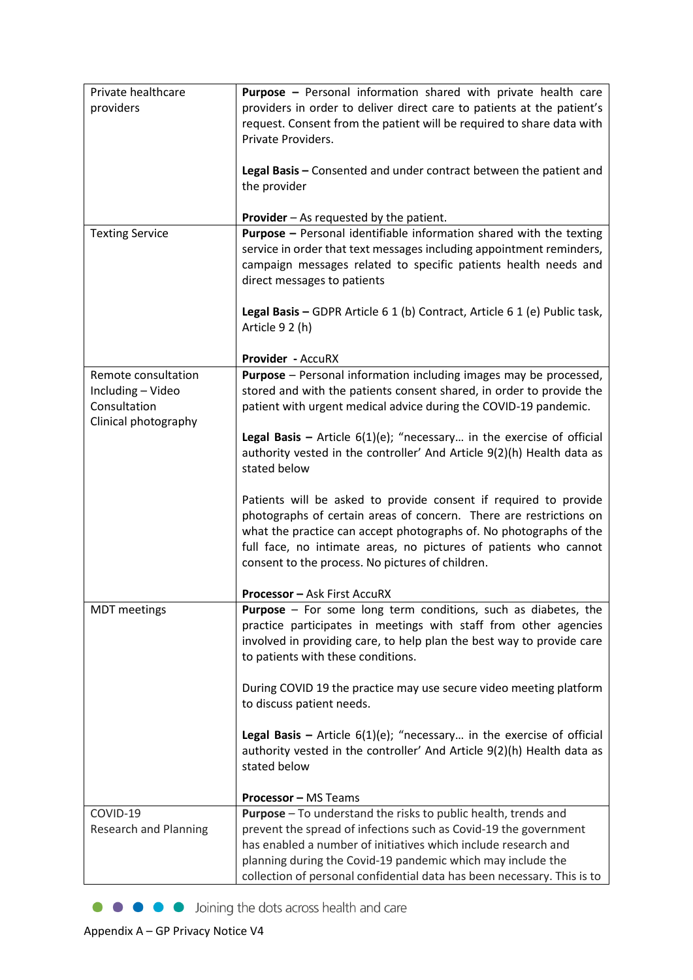| Private healthcare           | Purpose - Personal information shared with private health care                                                                                     |
|------------------------------|----------------------------------------------------------------------------------------------------------------------------------------------------|
| providers                    | providers in order to deliver direct care to patients at the patient's                                                                             |
|                              | request. Consent from the patient will be required to share data with                                                                              |
|                              | Private Providers.                                                                                                                                 |
|                              |                                                                                                                                                    |
|                              | Legal Basis - Consented and under contract between the patient and                                                                                 |
|                              | the provider                                                                                                                                       |
|                              |                                                                                                                                                    |
|                              | Provider - As requested by the patient.                                                                                                            |
| <b>Texting Service</b>       | <b>Purpose -</b> Personal identifiable information shared with the texting<br>service in order that text messages including appointment reminders, |
|                              | campaign messages related to specific patients health needs and                                                                                    |
|                              | direct messages to patients                                                                                                                        |
|                              |                                                                                                                                                    |
|                              | Legal Basis - GDPR Article 6 1 (b) Contract, Article 6 1 (e) Public task,                                                                          |
|                              | Article 9 2 (h)                                                                                                                                    |
|                              |                                                                                                                                                    |
|                              | Provider - AccuRX                                                                                                                                  |
| Remote consultation          | <b>Purpose</b> - Personal information including images may be processed,                                                                           |
| Including - Video            | stored and with the patients consent shared, in order to provide the                                                                               |
| Consultation                 | patient with urgent medical advice during the COVID-19 pandemic.                                                                                   |
| Clinical photography         |                                                                                                                                                    |
|                              | Legal Basis - Article $6(1)(e)$ ; "necessary in the exercise of official                                                                           |
|                              | authority vested in the controller' And Article 9(2)(h) Health data as                                                                             |
|                              | stated below                                                                                                                                       |
|                              | Patients will be asked to provide consent if required to provide                                                                                   |
|                              | photographs of certain areas of concern. There are restrictions on                                                                                 |
|                              | what the practice can accept photographs of. No photographs of the                                                                                 |
|                              | full face, no intimate areas, no pictures of patients who cannot                                                                                   |
|                              | consent to the process. No pictures of children.                                                                                                   |
|                              |                                                                                                                                                    |
|                              | <b>Processor - Ask First AccuRX</b>                                                                                                                |
| <b>MDT</b> meetings          | Purpose - For some long term conditions, such as diabetes, the                                                                                     |
|                              | practice participates in meetings with staff from other agencies                                                                                   |
|                              | involved in providing care, to help plan the best way to provide care                                                                              |
|                              | to patients with these conditions.                                                                                                                 |
|                              |                                                                                                                                                    |
|                              | During COVID 19 the practice may use secure video meeting platform<br>to discuss patient needs.                                                    |
|                              |                                                                                                                                                    |
|                              | <b>Legal Basis -</b> Article $6(1)(e)$ ; "necessary in the exercise of official                                                                    |
|                              | authority vested in the controller' And Article 9(2)(h) Health data as                                                                             |
|                              | stated below                                                                                                                                       |
|                              |                                                                                                                                                    |
|                              | <b>Processor - MS Teams</b>                                                                                                                        |
| COVID-19                     | Purpose - To understand the risks to public health, trends and                                                                                     |
| <b>Research and Planning</b> | prevent the spread of infections such as Covid-19 the government                                                                                   |
|                              | has enabled a number of initiatives which include research and                                                                                     |
|                              | planning during the Covid-19 pandemic which may include the                                                                                        |
|                              | collection of personal confidential data has been necessary. This is to                                                                            |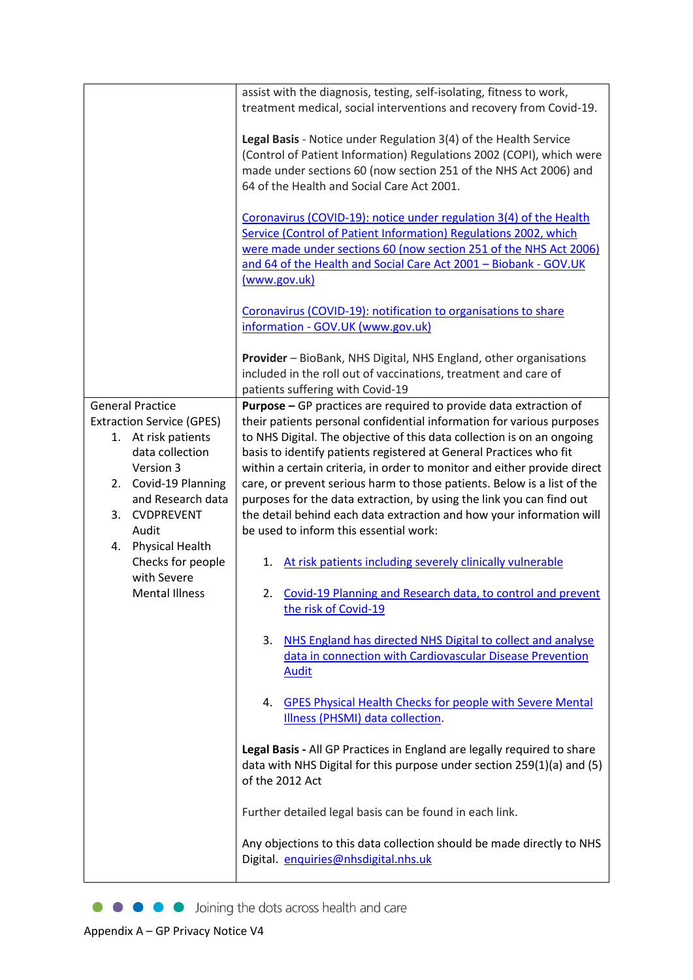|                                        | assist with the diagnosis, testing, self-isolating, fitness to work,<br>treatment medical, social interventions and recovery from Covid-19.                                                                                                                                                     |
|----------------------------------------|-------------------------------------------------------------------------------------------------------------------------------------------------------------------------------------------------------------------------------------------------------------------------------------------------|
|                                        | Legal Basis - Notice under Regulation 3(4) of the Health Service<br>(Control of Patient Information) Regulations 2002 (COPI), which were<br>made under sections 60 (now section 251 of the NHS Act 2006) and<br>64 of the Health and Social Care Act 2001.                                      |
|                                        | Coronavirus (COVID-19): notice under regulation 3(4) of the Health<br>Service (Control of Patient Information) Regulations 2002, which<br>were made under sections 60 (now section 251 of the NHS Act 2006)<br>and 64 of the Health and Social Care Act 2001 - Biobank - GOV.UK<br>(www.gov.uk) |
|                                        | Coronavirus (COVID-19): notification to organisations to share<br>information - GOV.UK (www.gov.uk)                                                                                                                                                                                             |
|                                        | Provider - BioBank, NHS Digital, NHS England, other organisations<br>included in the roll out of vaccinations, treatment and care of<br>patients suffering with Covid-19                                                                                                                        |
| <b>General Practice</b>                | Purpose - GP practices are required to provide data extraction of                                                                                                                                                                                                                               |
| <b>Extraction Service (GPES)</b>       | their patients personal confidential information for various purposes                                                                                                                                                                                                                           |
| 1. At risk patients<br>data collection | to NHS Digital. The objective of this data collection is on an ongoing<br>basis to identify patients registered at General Practices who fit                                                                                                                                                    |
| Version 3                              | within a certain criteria, in order to monitor and either provide direct                                                                                                                                                                                                                        |
| 2. Covid-19 Planning                   | care, or prevent serious harm to those patients. Below is a list of the                                                                                                                                                                                                                         |
| and Research data                      | purposes for the data extraction, by using the link you can find out                                                                                                                                                                                                                            |
| 3. CVDPREVENT                          | the detail behind each data extraction and how your information will                                                                                                                                                                                                                            |
| Audit<br><b>Physical Health</b><br>4.  | be used to inform this essential work:                                                                                                                                                                                                                                                          |
| Checks for people<br>with Severe       | At risk patients including severely clinically vulnerable<br>1.                                                                                                                                                                                                                                 |
| <b>Mental Illness</b>                  | Covid-19 Planning and Research data, to control and prevent<br>2.<br>the risk of Covid-19                                                                                                                                                                                                       |
|                                        | 3.<br>NHS England has directed NHS Digital to collect and analyse<br>data in connection with Cardiovascular Disease Prevention<br><b>Audit</b>                                                                                                                                                  |
|                                        | <b>GPES Physical Health Checks for people with Severe Mental</b><br>4.<br>Illness (PHSMI) data collection.                                                                                                                                                                                      |
|                                        | Legal Basis - All GP Practices in England are legally required to share<br>data with NHS Digital for this purpose under section 259(1)(a) and (5)<br>of the 2012 Act                                                                                                                            |
|                                        | Further detailed legal basis can be found in each link.                                                                                                                                                                                                                                         |
|                                        | Any objections to this data collection should be made directly to NHS<br>Digital. enquiries@nhsdigital.nhs.uk                                                                                                                                                                                   |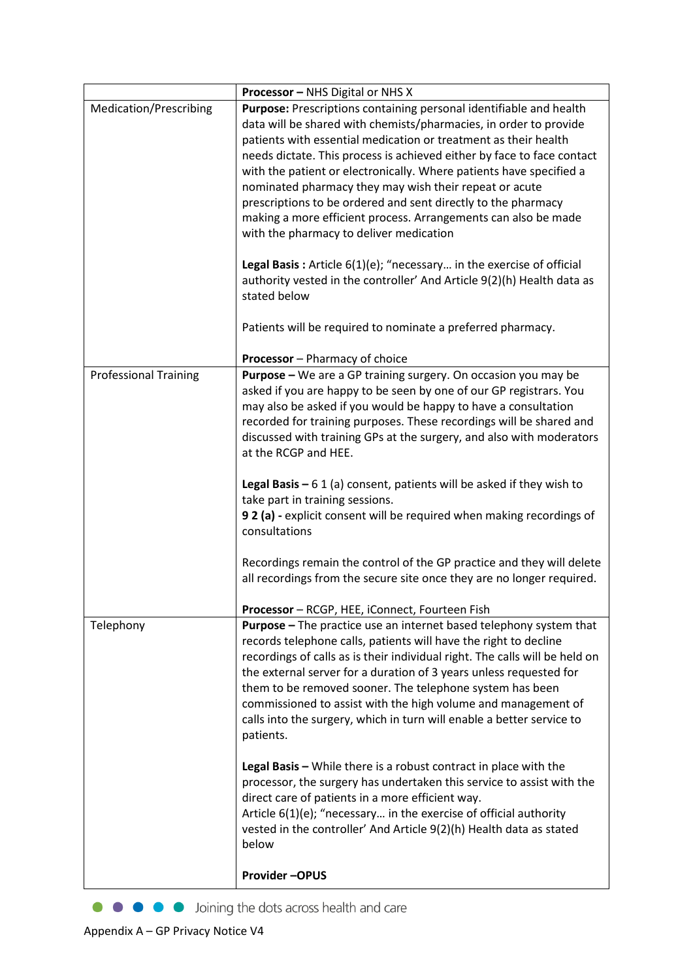|                              | <b>Processor</b> – NHS Digital or NHS X                                                                                                                                                                                                                                                                                                                                                                                                                                                                                                                                                                                                                                                                                                                                                                                                        |
|------------------------------|------------------------------------------------------------------------------------------------------------------------------------------------------------------------------------------------------------------------------------------------------------------------------------------------------------------------------------------------------------------------------------------------------------------------------------------------------------------------------------------------------------------------------------------------------------------------------------------------------------------------------------------------------------------------------------------------------------------------------------------------------------------------------------------------------------------------------------------------|
| Medication/Prescribing       | Purpose: Prescriptions containing personal identifiable and health<br>data will be shared with chemists/pharmacies, in order to provide<br>patients with essential medication or treatment as their health<br>needs dictate. This process is achieved either by face to face contact<br>with the patient or electronically. Where patients have specified a<br>nominated pharmacy they may wish their repeat or acute<br>prescriptions to be ordered and sent directly to the pharmacy<br>making a more efficient process. Arrangements can also be made<br>with the pharmacy to deliver medication<br><b>Legal Basis:</b> Article $6(1)(e)$ ; "necessary in the exercise of official<br>authority vested in the controller' And Article 9(2)(h) Health data as<br>stated below<br>Patients will be required to nominate a preferred pharmacy. |
|                              | <b>Processor</b> - Pharmacy of choice                                                                                                                                                                                                                                                                                                                                                                                                                                                                                                                                                                                                                                                                                                                                                                                                          |
| <b>Professional Training</b> | Purpose - We are a GP training surgery. On occasion you may be<br>asked if you are happy to be seen by one of our GP registrars. You<br>may also be asked if you would be happy to have a consultation<br>recorded for training purposes. These recordings will be shared and<br>discussed with training GPs at the surgery, and also with moderators<br>at the RCGP and HEE.<br>Legal Basis $-61$ (a) consent, patients will be asked if they wish to<br>take part in training sessions.<br>9 2 (a) - explicit consent will be required when making recordings of<br>consultations<br>Recordings remain the control of the GP practice and they will delete<br>all recordings from the secure site once they are no longer required.                                                                                                          |
|                              | Processor - RCGP, HEE, iConnect, Fourteen Fish                                                                                                                                                                                                                                                                                                                                                                                                                                                                                                                                                                                                                                                                                                                                                                                                 |
| Telephony                    | <b>Purpose</b> - The practice use an internet based telephony system that<br>records telephone calls, patients will have the right to decline<br>recordings of calls as is their individual right. The calls will be held on<br>the external server for a duration of 3 years unless requested for<br>them to be removed sooner. The telephone system has been<br>commissioned to assist with the high volume and management of<br>calls into the surgery, which in turn will enable a better service to<br>patients.<br>Legal Basis - While there is a robust contract in place with the<br>processor, the surgery has undertaken this service to assist with the                                                                                                                                                                             |
|                              | direct care of patients in a more efficient way.<br>Article $6(1)(e)$ ; "necessary in the exercise of official authority<br>vested in the controller' And Article 9(2)(h) Health data as stated<br>below<br><b>Provider-OPUS</b>                                                                                                                                                                                                                                                                                                                                                                                                                                                                                                                                                                                                               |
|                              |                                                                                                                                                                                                                                                                                                                                                                                                                                                                                                                                                                                                                                                                                                                                                                                                                                                |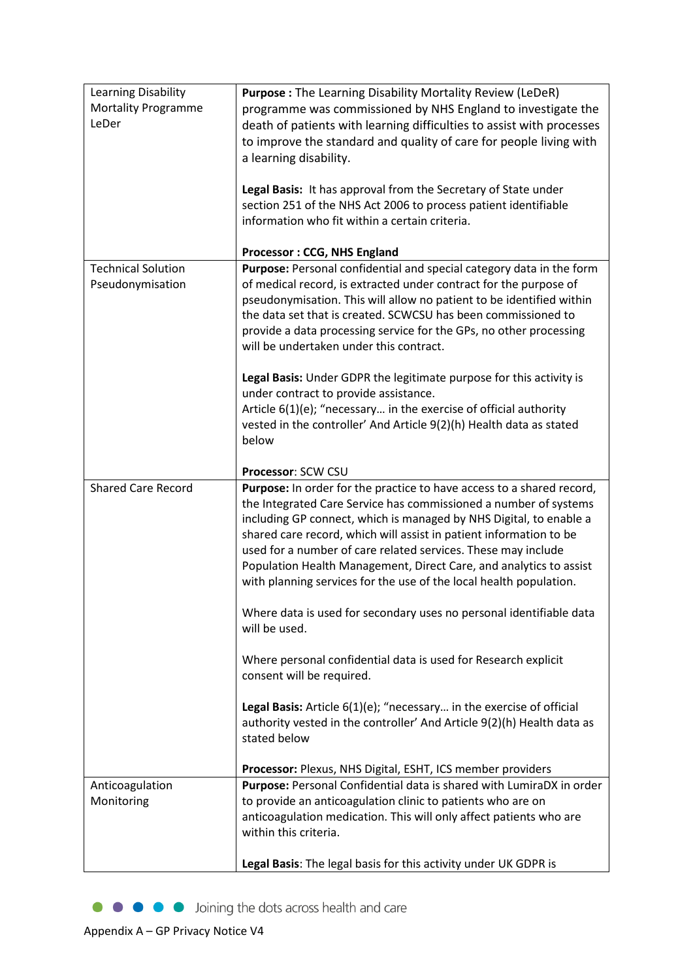| Learning Disability<br><b>Mortality Programme</b><br>LeDer | Purpose: The Learning Disability Mortality Review (LeDeR)<br>programme was commissioned by NHS England to investigate the<br>death of patients with learning difficulties to assist with processes<br>to improve the standard and quality of care for people living with<br>a learning disability.<br>Legal Basis: It has approval from the Secretary of State under<br>section 251 of the NHS Act 2006 to process patient identifiable<br>information who fit within a certain criteria.                           |
|------------------------------------------------------------|---------------------------------------------------------------------------------------------------------------------------------------------------------------------------------------------------------------------------------------------------------------------------------------------------------------------------------------------------------------------------------------------------------------------------------------------------------------------------------------------------------------------|
|                                                            | <b>Processor: CCG, NHS England</b>                                                                                                                                                                                                                                                                                                                                                                                                                                                                                  |
| <b>Technical Solution</b><br>Pseudonymisation              | Purpose: Personal confidential and special category data in the form<br>of medical record, is extracted under contract for the purpose of<br>pseudonymisation. This will allow no patient to be identified within<br>the data set that is created. SCWCSU has been commissioned to<br>provide a data processing service for the GPs, no other processing<br>will be undertaken under this contract.<br>Legal Basis: Under GDPR the legitimate purpose for this activity is<br>under contract to provide assistance. |
|                                                            | Article $6(1)(e)$ ; "necessary in the exercise of official authority                                                                                                                                                                                                                                                                                                                                                                                                                                                |
|                                                            | vested in the controller' And Article 9(2)(h) Health data as stated<br>below                                                                                                                                                                                                                                                                                                                                                                                                                                        |
|                                                            | <b>Processor: SCW CSU</b>                                                                                                                                                                                                                                                                                                                                                                                                                                                                                           |
| <b>Shared Care Record</b>                                  | Purpose: In order for the practice to have access to a shared record,<br>the Integrated Care Service has commissioned a number of systems<br>including GP connect, which is managed by NHS Digital, to enable a<br>shared care record, which will assist in patient information to be<br>used for a number of care related services. These may include<br>Population Health Management, Direct Care, and analytics to assist<br>with planning services for the use of the local health population.                  |
|                                                            | Where data is used for secondary uses no personal identifiable data<br>will be used.                                                                                                                                                                                                                                                                                                                                                                                                                                |
|                                                            | Where personal confidential data is used for Research explicit<br>consent will be required.                                                                                                                                                                                                                                                                                                                                                                                                                         |
|                                                            | Legal Basis: Article 6(1)(e); "necessary in the exercise of official<br>authority vested in the controller' And Article 9(2)(h) Health data as<br>stated below                                                                                                                                                                                                                                                                                                                                                      |
|                                                            | Processor: Plexus, NHS Digital, ESHT, ICS member providers                                                                                                                                                                                                                                                                                                                                                                                                                                                          |
| Anticoagulation<br>Monitoring                              | Purpose: Personal Confidential data is shared with LumiraDX in order<br>to provide an anticoagulation clinic to patients who are on<br>anticoagulation medication. This will only affect patients who are<br>within this criteria.                                                                                                                                                                                                                                                                                  |
|                                                            | Legal Basis: The legal basis for this activity under UK GDPR is                                                                                                                                                                                                                                                                                                                                                                                                                                                     |